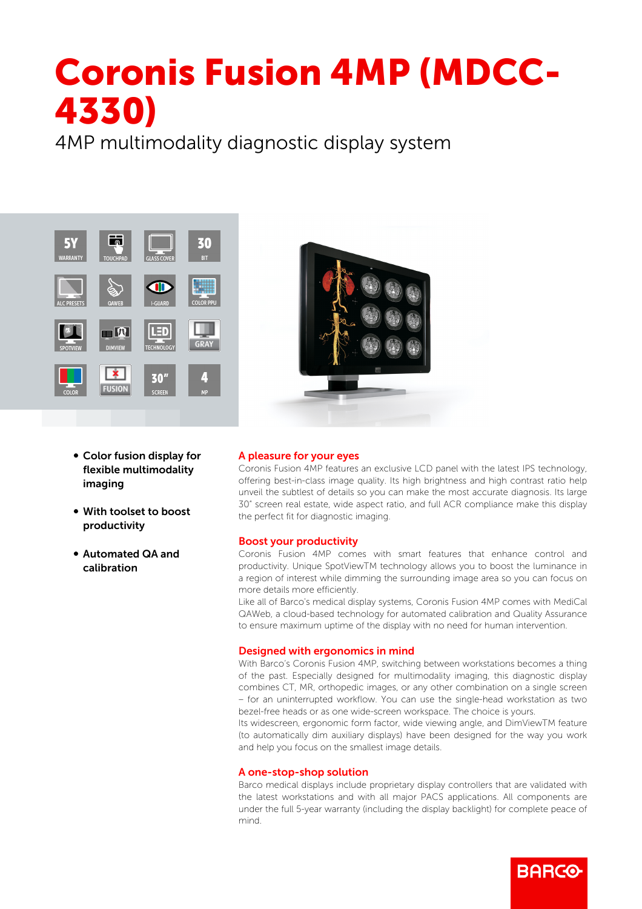# Coronis Fusion 4MP (MDCC-4330)

4MP multimodality diagnostic display system





- Color fusion display for flexible multimodality imaging
- With toolset to boost productivity
- b Automated QA and calibration

## A pleasure for your eyes

Coronis Fusion 4MP features an exclusive LCD panel with the latest IPS technology, offering best-in-class image quality. Its high brightness and high contrast ratio help unveil the subtlest of details so you can make the most accurate diagnosis. Its large 30" screen real estate, wide aspect ratio, and full ACR compliance make this display the perfect fit for diagnostic imaging.

## Boost your productivity

Coronis Fusion 4MP comes with smart features that enhance control and productivity. Unique SpotViewTM technology allows you to boost the luminance in a region of interest while dimming the surrounding image area so you can focus on more details more efficiently.

Like all of Barco's medical display systems, Coronis Fusion 4MP comes with MediCal QAWeb, a cloud-based technology for automated calibration and Quality Assurance to ensure maximum uptime of the display with no need for human intervention.

## Designed with ergonomics in mind

With Barco's Coronis Fusion 4MP, switching between workstations becomes a thing of the past. Especially designed for multimodality imaging, this diagnostic display combines CT, MR, orthopedic images, or any other combination on a single screen – for an uninterrupted workflow. You can use the single-head workstation as two bezel-free heads or as one wide-screen workspace. The choice is yours.

Its widescreen, ergonomic form factor, wide viewing angle, and DimViewTM feature (to automatically dim auxiliary displays) have been designed for the way you work and help you focus on the smallest image details.

#### A one-stop-shop solution

Barco medical displays include proprietary display controllers that are validated with the latest workstations and with all major PACS applications. All components are under the full 5-year warranty (including the display backlight) for complete peace of mind.

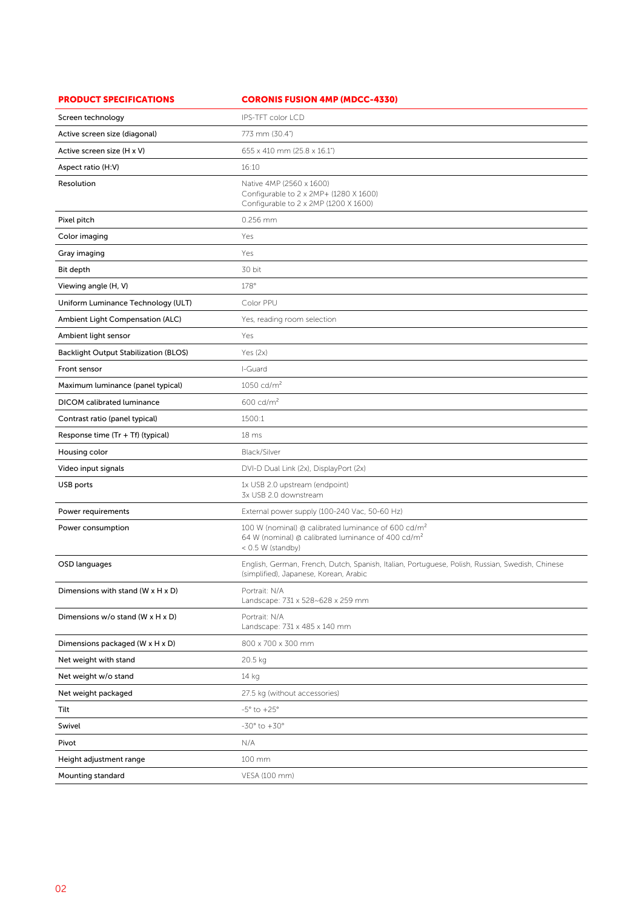| <b>PRODUCT SPECIFICATIONS</b>                   | <b>CORONIS FUSION 4MP (MDCC-4330)</b>                                                                                                                  |
|-------------------------------------------------|--------------------------------------------------------------------------------------------------------------------------------------------------------|
| Screen technology                               | IPS-TFT color LCD                                                                                                                                      |
| Active screen size (diagonal)                   | 773 mm (30.4")                                                                                                                                         |
| Active screen size (H x V)                      | 655 x 410 mm (25.8 x 16.1")                                                                                                                            |
| Aspect ratio (H:V)                              | 16:10                                                                                                                                                  |
| Resolution                                      | Native 4MP (2560 x 1600)<br>Configurable to 2 x 2MP+ (1280 X 1600)<br>Configurable to 2 x 2MP (1200 X 1600)                                            |
| Pixel pitch                                     | 0.256 mm                                                                                                                                               |
| Color imaging                                   | Yes                                                                                                                                                    |
| Gray imaging                                    | Yes                                                                                                                                                    |
| Bit depth                                       | 30 bit                                                                                                                                                 |
| Viewing angle (H, V)                            | 178°                                                                                                                                                   |
| Uniform Luminance Technology (ULT)              | Color PPU                                                                                                                                              |
| Ambient Light Compensation (ALC)                | Yes, reading room selection                                                                                                                            |
| Ambient light sensor                            | Yes                                                                                                                                                    |
| <b>Backlight Output Stabilization (BLOS)</b>    | Yes $(2x)$                                                                                                                                             |
| Front sensor                                    | I-Guard                                                                                                                                                |
| Maximum luminance (panel typical)               | 1050 cd/ $m^2$                                                                                                                                         |
| <b>DICOM</b> calibrated luminance               | $600 \text{ cd/m}^2$                                                                                                                                   |
| Contrast ratio (panel typical)                  | 1500:1                                                                                                                                                 |
| Response time (Tr + Tf) (typical)               | 18 <sub>ms</sub>                                                                                                                                       |
| Housing color                                   | Black/Silver                                                                                                                                           |
| Video input signals                             | DVI-D Dual Link (2x), DisplayPort (2x)                                                                                                                 |
| USB ports                                       | 1x USB 2.0 upstream (endpoint)<br>3x USB 2.0 downstream                                                                                                |
| Power requirements                              | External power supply (100-240 Vac, 50-60 Hz)                                                                                                          |
| Power consumption                               | 100 W (nominal) @ calibrated luminance of 600 cd/m <sup>2</sup><br>64 W (nominal) @ calibrated luminance of 400 cd/m <sup>2</sup><br>< 0.5 W (standby) |
| OSD languages                                   | English, German, French, Dutch, Spanish, Italian, Portuguese, Polish, Russian, Swedish, Chinese<br>(simplified), Japanese, Korean, Arabic              |
| Dimensions with stand ( $W \times H \times D$ ) | Portrait: N/A<br>Landscape: 731 x 528~628 x 259 mm                                                                                                     |
| Dimensions w/o stand (W x H x D)                | Portrait: N/A<br>Landscape: 731 x 485 x 140 mm                                                                                                         |
| Dimensions packaged (W x H x D)                 | 800 x 700 x 300 mm                                                                                                                                     |
| Net weight with stand                           | 20.5 kg                                                                                                                                                |
| Net weight w/o stand                            | 14 kg                                                                                                                                                  |
| Net weight packaged                             | 27.5 kg (without accessories)                                                                                                                          |
| Tilt                                            | $-5^{\circ}$ to $+25^{\circ}$                                                                                                                          |
| Swivel                                          | $-30^\circ$ to $+30^\circ$                                                                                                                             |
| Pivot                                           | N/A                                                                                                                                                    |
| Height adjustment range                         | 100 mm                                                                                                                                                 |
| Mounting standard                               | VESA (100 mm)                                                                                                                                          |